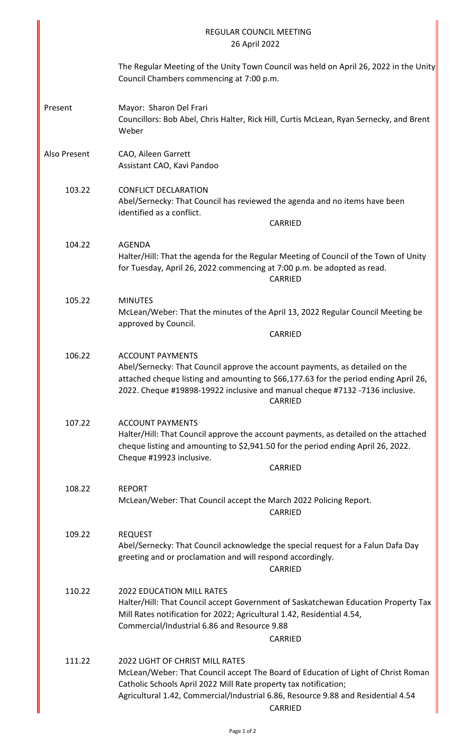| <b>REGULAR COUNCIL MEETING</b><br>26 April 2022 |                                                                                                                                                                                                                                                                                                 |  |
|-------------------------------------------------|-------------------------------------------------------------------------------------------------------------------------------------------------------------------------------------------------------------------------------------------------------------------------------------------------|--|
|                                                 | The Regular Meeting of the Unity Town Council was held on April 26, 2022 in the Unity<br>Council Chambers commencing at 7:00 p.m.                                                                                                                                                               |  |
| Present                                         | Mayor: Sharon Del Frari<br>Councillors: Bob Abel, Chris Halter, Rick Hill, Curtis McLean, Ryan Sernecky, and Brent<br>Weber                                                                                                                                                                     |  |
| Also Present                                    | CAO, Aileen Garrett<br>Assistant CAO, Kavi Pandoo                                                                                                                                                                                                                                               |  |
| 103.22                                          | <b>CONFLICT DECLARATION</b><br>Abel/Sernecky: That Council has reviewed the agenda and no items have been<br>identified as a conflict.<br>CARRIED                                                                                                                                               |  |
| 104.22                                          | <b>AGENDA</b><br>Halter/Hill: That the agenda for the Regular Meeting of Council of the Town of Unity<br>for Tuesday, April 26, 2022 commencing at 7:00 p.m. be adopted as read.<br>CARRIED                                                                                                     |  |
| 105.22                                          | <b>MINUTES</b><br>McLean/Weber: That the minutes of the April 13, 2022 Regular Council Meeting be<br>approved by Council.<br><b>CARRIED</b>                                                                                                                                                     |  |
| 106.22                                          | <b>ACCOUNT PAYMENTS</b><br>Abel/Sernecky: That Council approve the account payments, as detailed on the<br>attached cheque listing and amounting to \$66,177.63 for the period ending April 26,<br>2022. Cheque #19898-19922 inclusive and manual cheque #7132 -7136 inclusive.<br>CARRIED      |  |
| 107.22                                          | <b>ACCOUNT PAYMENTS</b><br>Halter/Hill: That Council approve the account payments, as detailed on the attached<br>cheque listing and amounting to \$2,941.50 for the period ending April 26, 2022.<br>Cheque #19923 inclusive.<br>CARRIED                                                       |  |
| 108.22                                          | <b>REPORT</b><br>McLean/Weber: That Council accept the March 2022 Policing Report.<br>CARRIED                                                                                                                                                                                                   |  |
| 109.22                                          | <b>REQUEST</b><br>Abel/Sernecky: That Council acknowledge the special request for a Falun Dafa Day<br>greeting and or proclamation and will respond accordingly.<br><b>CARRIED</b>                                                                                                              |  |
| 110.22                                          | <b>2022 EDUCATION MILL RATES</b><br>Halter/Hill: That Council accept Government of Saskatchewan Education Property Tax<br>Mill Rates notification for 2022; Agricultural 1.42, Residential 4.54,<br>Commercial/Industrial 6.86 and Resource 9.88<br>CARRIED                                     |  |
| 111.22                                          | <b>2022 LIGHT OF CHRIST MILL RATES</b><br>McLean/Weber: That Council accept The Board of Education of Light of Christ Roman<br>Catholic Schools April 2022 Mill Rate property tax notification;<br>Agricultural 1.42, Commercial/Industrial 6.86, Resource 9.88 and Residential 4.54<br>CARRIED |  |